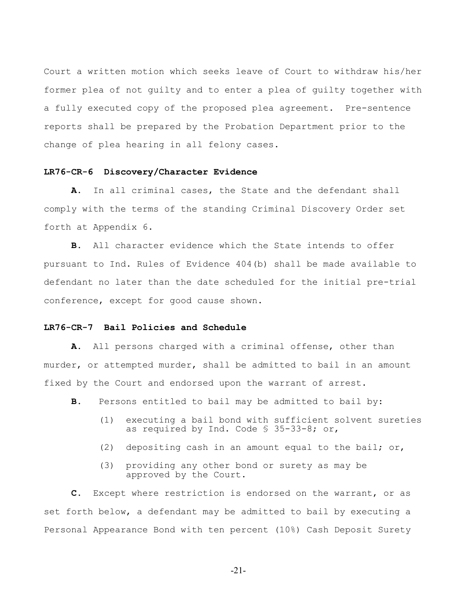Court a written motion which seeks leave of Court to withdraw his/her former plea of not guilty and to enter a plea of guilty together with a fully executed copy of the proposed plea agreement. Pre-sentence reports shall be prepared by the Probation Department prior to the change of plea hearing in all felony cases.

## **LR76-CR-6 Discovery/Character Evidence**

**A.** In all criminal cases, the State and the defendant shall comply with the terms of the standing Criminal Discovery Order set forth at Appendix 6.

**B.** All character evidence which the State intends to offer pursuant to Ind. Rules of Evidence 404(b) shall be made available to defendant no later than the date scheduled for the initial pre-trial conference, except for good cause shown.

## **LR76-CR-7 Bail Policies and Schedule**

**A.** All persons charged with a criminal offense, other than murder, or attempted murder, shall be admitted to bail in an amount fixed by the Court and endorsed upon the warrant of arrest.

- **B.** Persons entitled to bail may be admitted to bail by:
	- (1) executing a bail bond with sufficient solvent sureties as required by Ind. Code § 35-33-8; or,
	- (2) depositing cash in an amount equal to the bail; or,
	- (3) providing any other bond or surety as may be approved by the Court.

**C.** Except where restriction is endorsed on the warrant, or as set forth below, a defendant may be admitted to bail by executing a Personal Appearance Bond with ten percent (10%) Cash Deposit Surety

-21-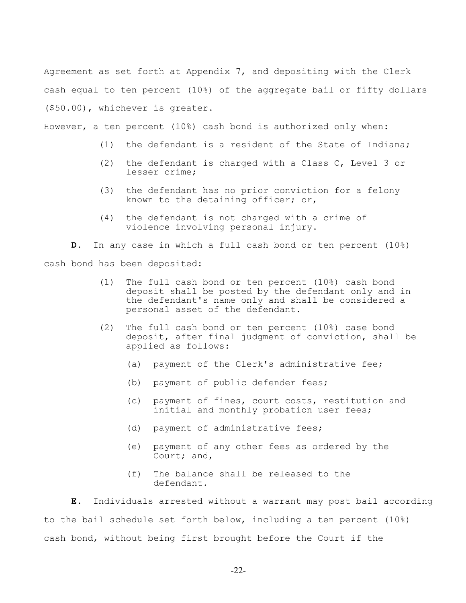Agreement as set forth at Appendix 7, and depositing with the Clerk cash equal to ten percent (10%) of the aggregate bail or fifty dollars (\$50.00), whichever is greater.

However, a ten percent (10%) cash bond is authorized only when:

- (1) the defendant is a resident of the State of Indiana;
- (2) the defendant is charged with a Class C, Level 3 or lesser crime;
- (3) the defendant has no prior conviction for a felony known to the detaining officer; or,
- (4) the defendant is not charged with a crime of violence involving personal injury.

**D.** In any case in which a full cash bond or ten percent (10%) cash bond has been deposited:

- (1) The full cash bond or ten percent (10%) cash bond deposit shall be posted by the defendant only and in the defendant's name only and shall be considered a personal asset of the defendant.
- (2) The full cash bond or ten percent (10%) case bond deposit, after final judgment of conviction, shall be applied as follows:
	- (a) payment of the Clerk's administrative fee;
	- (b) payment of public defender fees;
	- (c) payment of fines, court costs, restitution and initial and monthly probation user fees;
	- (d) payment of administrative fees;
	- (e) payment of any other fees as ordered by the Court; and,
	- (f) The balance shall be released to the defendant.

**E.** Individuals arrested without a warrant may post bail according to the bail schedule set forth below, including a ten percent (10%) cash bond, without being first brought before the Court if the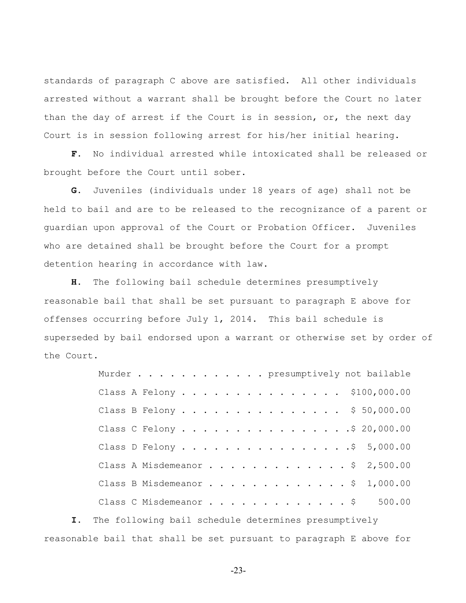standards of paragraph C above are satisfied. All other individuals arrested without a warrant shall be brought before the Court no later than the day of arrest if the Court is in session, or, the next day Court is in session following arrest for his/her initial hearing.

**F.** No individual arrested while intoxicated shall be released or brought before the Court until sober.

**G.** Juveniles (individuals under 18 years of age) shall not be held to bail and are to be released to the recognizance of a parent or guardian upon approval of the Court or Probation Officer. Juveniles who are detained shall be brought before the Court for a prompt detention hearing in accordance with law.

**H.** The following bail schedule determines presumptively reasonable bail that shall be set pursuant to paragraph E above for offenses occurring before July 1, 2014. This bail schedule is superseded by bail endorsed upon a warrant or otherwise set by order of the Court.

| Murder presumptively not bailable |
|-----------------------------------|
| Class A Felony \$100,000.00       |
| Class B Felony \$ 50,000.00       |
| Class C Felony \$ 20,000.00       |
| Class D Felony \$ 5,000.00        |
| Class A Misdemeanor \$ 2,500.00   |
| Class B Misdemeanor \$ 1,000.00   |
| Class C Misdemeanor \$ 500.00     |

**I.** The following bail schedule determines presumptively reasonable bail that shall be set pursuant to paragraph E above for

-23-